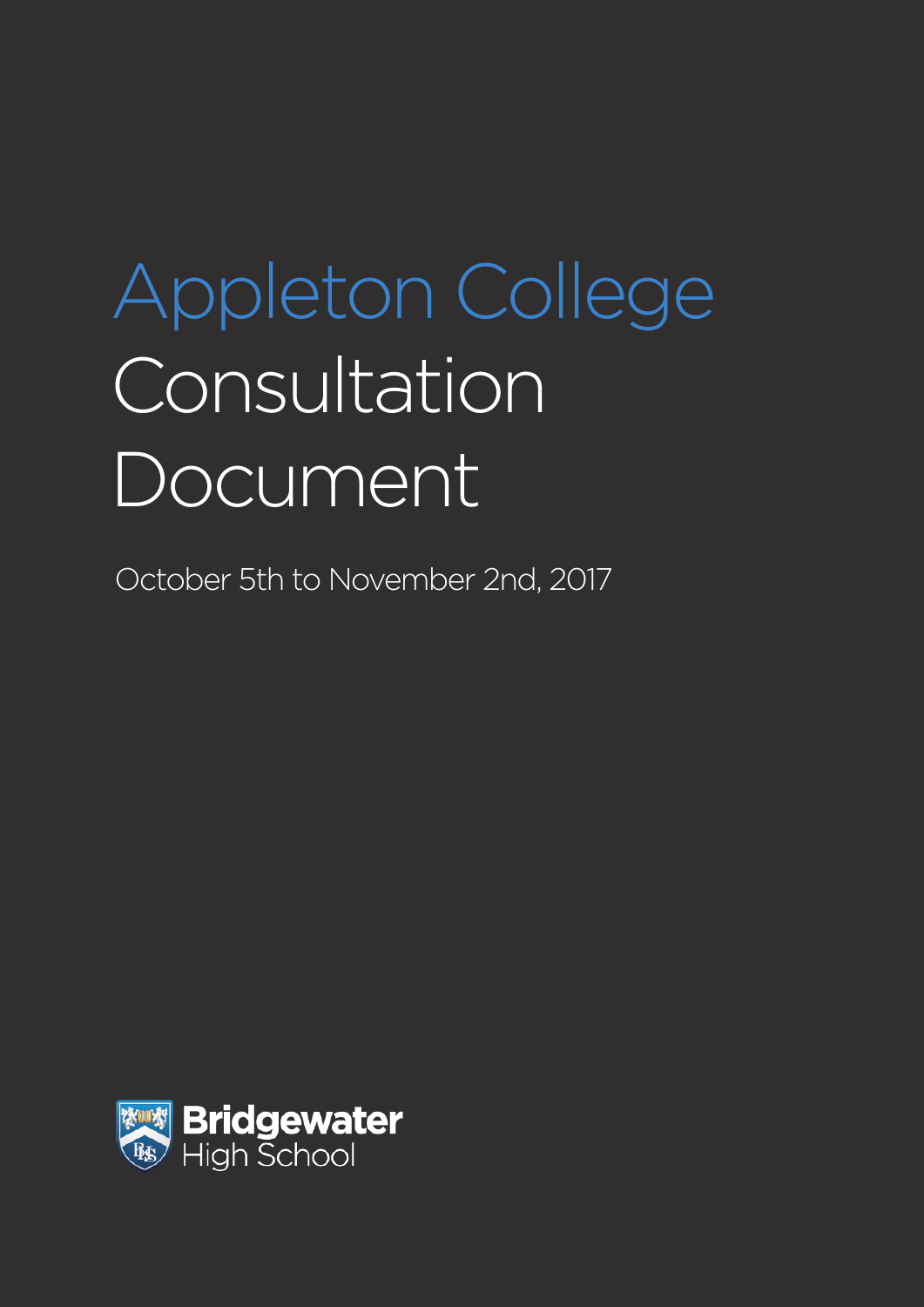# Appleton College **Consultation** Document

October 5th to November 2nd, 2017

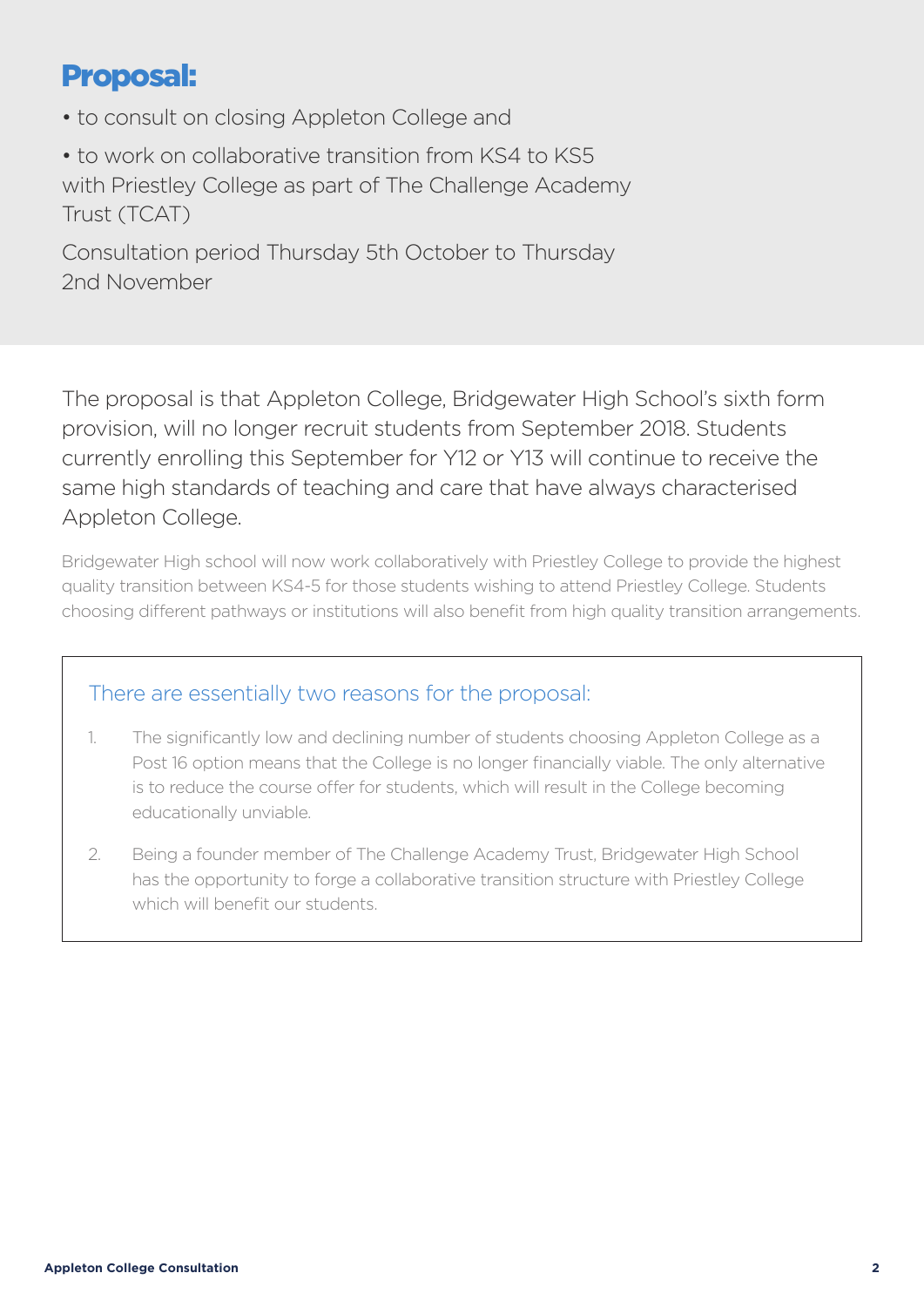## Proposal:

• to consult on closing Appleton College and

• to work on collaborative transition from KS4 to KS5 with Priestley College as part of The Challenge Academy Trust (TCAT)

Consultation period Thursday 5th October to Thursday 2nd November

The proposal is that Appleton College, Bridgewater High School's sixth form provision, will no longer recruit students from September 2018. Students currently enrolling this September for Y12 or Y13 will continue to receive the same high standards of teaching and care that have always characterised Appleton College.

Bridgewater High school will now work collaboratively with Priestley College to provide the highest quality transition between KS4-5 for those students wishing to attend Priestley College. Students choosing different pathways or institutions will also benefit from high quality transition arrangements.

#### There are essentially two reasons for the proposal:

- 1. The significantly low and declining number of students choosing Appleton College as a Post 16 option means that the College is no longer financially viable. The only alternative is to reduce the course offer for students, which will result in the College becoming educationally unviable.
- 2. Being a founder member of The Challenge Academy Trust, Bridgewater High School has the opportunity to forge a collaborative transition structure with Priestley College which will benefit our students.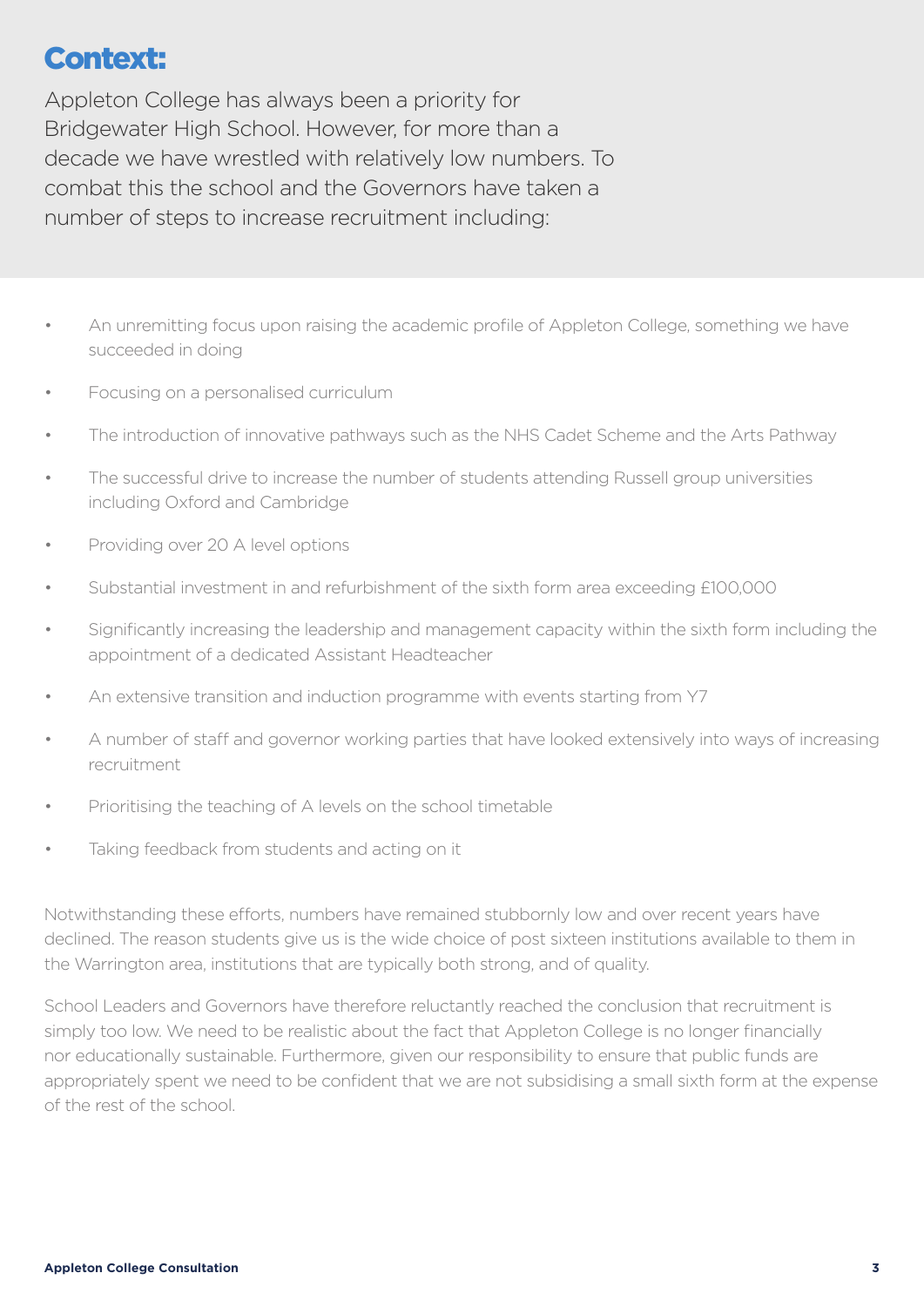## Context:

Appleton College has always been a priority for Bridgewater High School. However, for more than a decade we have wrestled with relatively low numbers. To combat this the school and the Governors have taken a number of steps to increase recruitment including:

- An unremitting focus upon raising the academic profile of Appleton College, something we have succeeded in doing
- Focusing on a personalised curriculum
- The introduction of innovative pathways such as the NHS Cadet Scheme and the Arts Pathway
- The successful drive to increase the number of students attending Russell group universities including Oxford and Cambridge
- Providing over 20 A level options
- Substantial investment in and refurbishment of the sixth form area exceeding £100,000
- Significantly increasing the leadership and management capacity within the sixth form including the appointment of a dedicated Assistant Headteacher
- An extensive transition and induction programme with events starting from Y7
- A number of staff and governor working parties that have looked extensively into ways of increasing recruitment
- Prioritising the teaching of A levels on the school timetable
- Taking feedback from students and acting on it

Notwithstanding these efforts, numbers have remained stubbornly low and over recent years have declined. The reason students give us is the wide choice of post sixteen institutions available to them in the Warrington area, institutions that are typically both strong, and of quality.

School Leaders and Governors have therefore reluctantly reached the conclusion that recruitment is simply too low. We need to be realistic about the fact that Appleton College is no longer financially nor educationally sustainable. Furthermore, given our responsibility to ensure that public funds are appropriately spent we need to be confident that we are not subsidising a small sixth form at the expense of the rest of the school.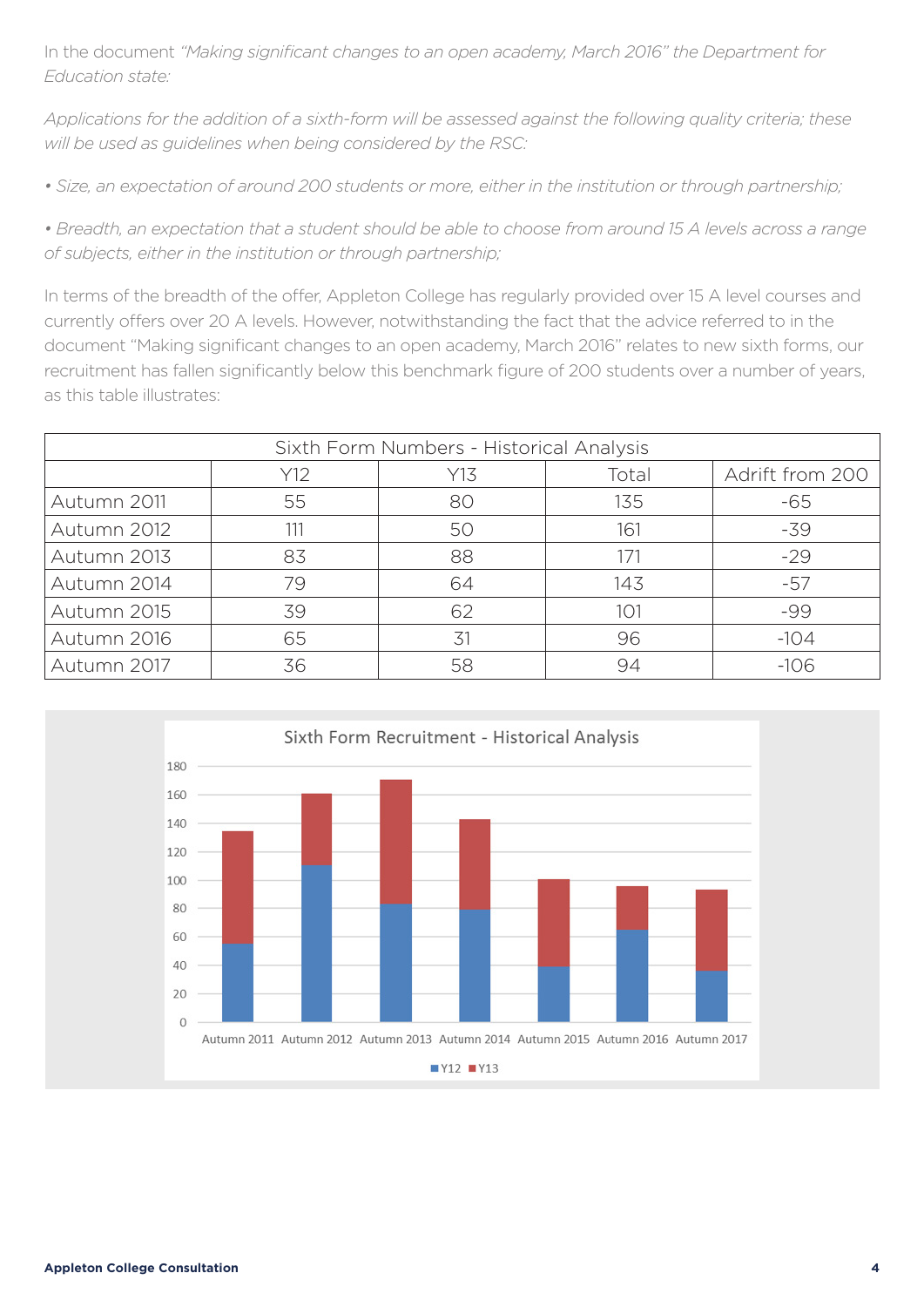In the document *"Making significant changes to an open academy, March 2016" the Department for Education state:*

*Applications for the addition of a sixth-form will be assessed against the following quality criteria; these will be used as guidelines when being considered by the RSC:*

*• Size, an expectation of around 200 students or more, either in the institution or through partnership;*

*• Breadth, an expectation that a student should be able to choose from around 15 A levels across a range of subjects, either in the institution or through partnership;*

In terms of the breadth of the offer, Appleton College has regularly provided over 15 A level courses and currently offers over 20 A levels. However, notwithstanding the fact that the advice referred to in the document "Making significant changes to an open academy, March 2016" relates to new sixth forms, our recruitment has fallen significantly below this benchmark figure of 200 students over a number of years, as this table illustrates:

| Sixth Form Numbers - Historical Analysis |     |     |       |                 |  |  |
|------------------------------------------|-----|-----|-------|-----------------|--|--|
|                                          | Y12 | Y13 | Total | Adrift from 200 |  |  |
| Autumn 2011                              | 55  | 80  | 135   | $-65$           |  |  |
| Autumn 2012                              | 111 | 50  | 161   | $-39$           |  |  |
| Autumn 2013                              | 83  | 88  | 171   | $-29$           |  |  |
| Autumn 2014                              | 79  | 64  | 143   | $-57$           |  |  |
| Autumn 2015                              | 39  | 62  | 101   | -99             |  |  |
| Autumn 2016                              | 65  | 31  | 96    | $-104$          |  |  |
| Autumn 2017                              | 36  | 58  | 94    | $-106$          |  |  |

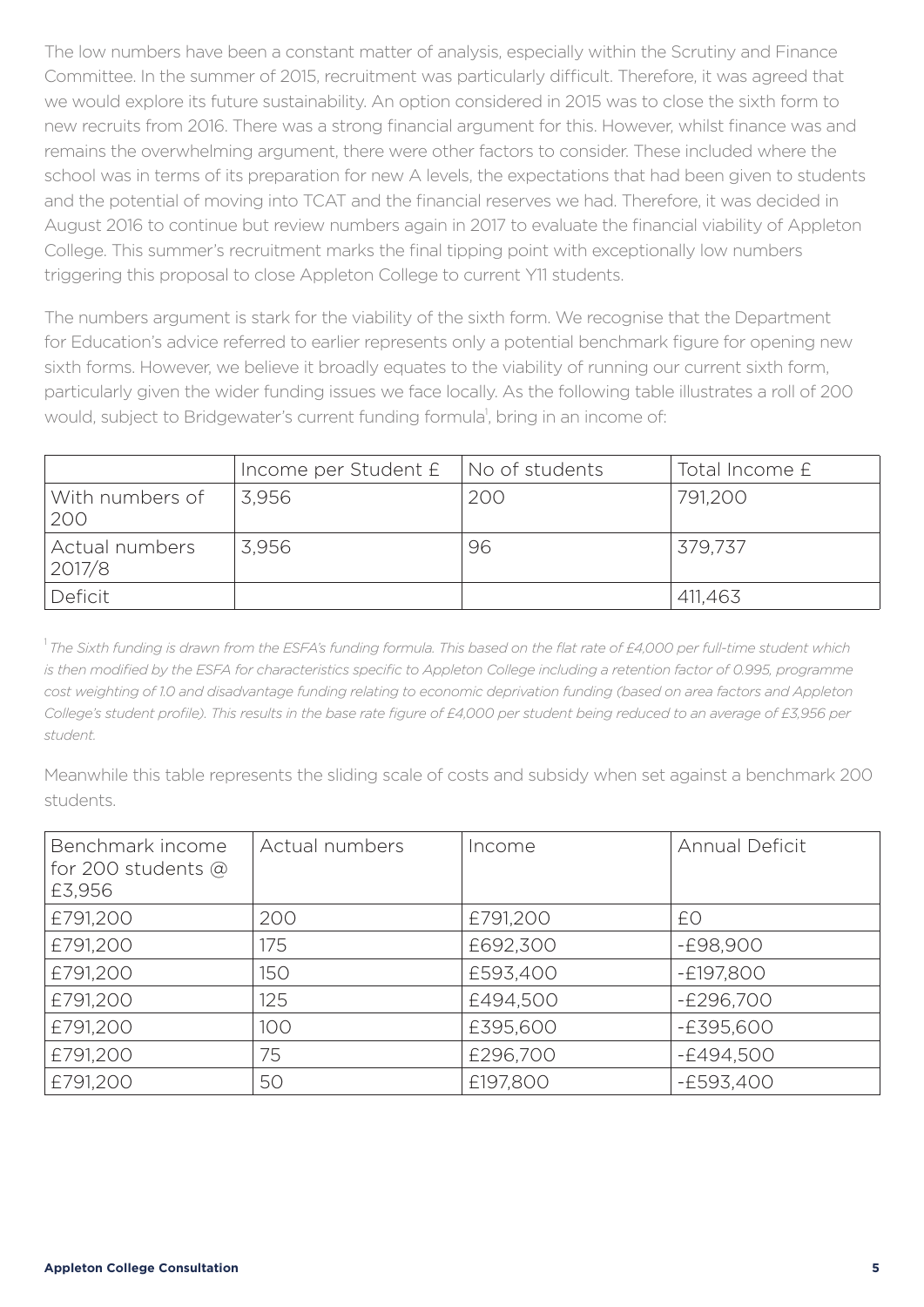The low numbers have been a constant matter of analysis, especially within the Scrutiny and Finance Committee. In the summer of 2015, recruitment was particularly difficult. Therefore, it was agreed that we would explore its future sustainability. An option considered in 2015 was to close the sixth form to new recruits from 2016. There was a strong financial argument for this. However, whilst finance was and remains the overwhelming argument, there were other factors to consider. These included where the school was in terms of its preparation for new A levels, the expectations that had been given to students and the potential of moving into TCAT and the financial reserves we had. Therefore, it was decided in August 2016 to continue but review numbers again in 2017 to evaluate the financial viability of Appleton College. This summer's recruitment marks the final tipping point with exceptionally low numbers triggering this proposal to close Appleton College to current Y11 students.

The numbers argument is stark for the viability of the sixth form. We recognise that the Department for Education's advice referred to earlier represents only a potential benchmark figure for opening new sixth forms. However, we believe it broadly equates to the viability of running our current sixth form, particularly given the wider funding issues we face locally. As the following table illustrates a roll of 200 would, subject to Bridgewater's current funding formula<sup>1</sup>, bring in an income of:

|                          | Income per Student $E$   No of students |     | Total Income £ |
|--------------------------|-----------------------------------------|-----|----------------|
| With numbers of<br>200   | 3.956                                   | 200 | 791,200        |
| Actual numbers<br>2017/8 | 3,956                                   | 96  | 379,737        |
| Deficit                  |                                         |     | 411,463        |

<sup>1</sup>*The Sixth funding is drawn from the ESFA's funding formula. This based on the flat rate of £4,000 per full-time student which is then modified by the ESFA for characteristics specific to Appleton College including a retention factor of 0.995, programme cost weighting of 1.0 and disadvantage funding relating to economic deprivation funding (based on area factors and Appleton College's student profile). This results in the base rate figure of £4,000 per student being reduced to an average of £3,956 per student.*

Meanwhile this table represents the sliding scale of costs and subsidy when set against a benchmark 200 students.

| Benchmark income<br>for 200 students $@$<br>£3,956 | Actual numbers | Income   | <b>Annual Deficit</b> |
|----------------------------------------------------|----------------|----------|-----------------------|
| £791,200                                           | 200            | £791,200 | £0                    |
| £791,200                                           | 175            | £692,300 | -£98,900              |
| £791,200                                           | 150            | £593,400 | $-E197,800$           |
| £791,200                                           | 125            | £494,500 | $-E296,700$           |
| £791,200                                           | 100            | £395,600 | $-E395,600$           |
| £791,200                                           | 75             | £296,700 | $-E494,500$           |
| £791,200                                           | 50             | £197,800 | $-E593,400$           |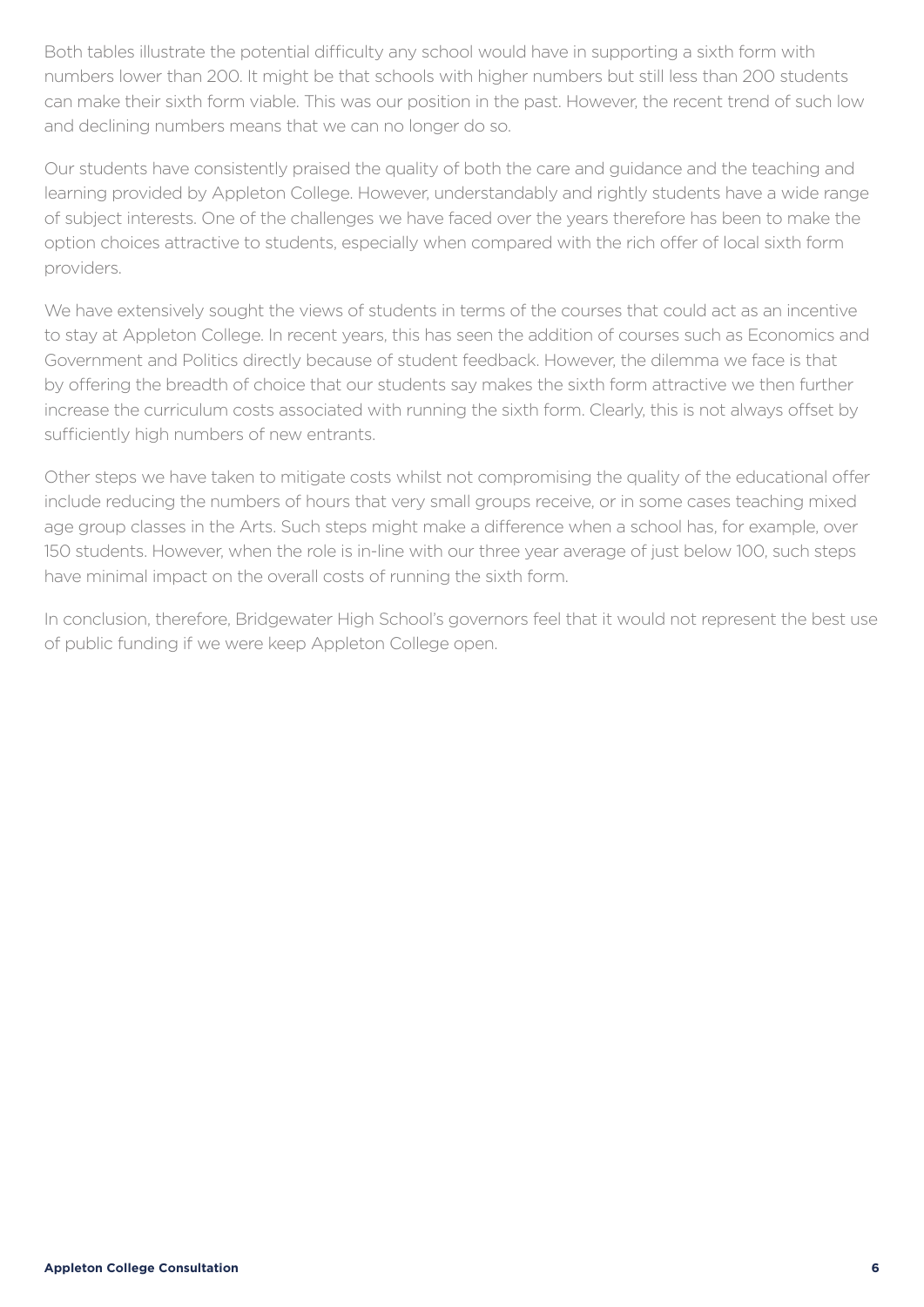Both tables illustrate the potential difficulty any school would have in supporting a sixth form with numbers lower than 200. It might be that schools with higher numbers but still less than 200 students can make their sixth form viable. This was our position in the past. However, the recent trend of such low and declining numbers means that we can no longer do so.

Our students have consistently praised the quality of both the care and guidance and the teaching and learning provided by Appleton College. However, understandably and rightly students have a wide range of subject interests. One of the challenges we have faced over the years therefore has been to make the option choices attractive to students, especially when compared with the rich offer of local sixth form providers.

We have extensively sought the views of students in terms of the courses that could act as an incentive to stay at Appleton College. In recent years, this has seen the addition of courses such as Economics and Government and Politics directly because of student feedback. However, the dilemma we face is that by offering the breadth of choice that our students say makes the sixth form attractive we then further increase the curriculum costs associated with running the sixth form. Clearly, this is not always offset by sufficiently high numbers of new entrants.

Other steps we have taken to mitigate costs whilst not compromising the quality of the educational offer include reducing the numbers of hours that very small groups receive, or in some cases teaching mixed age group classes in the Arts. Such steps might make a difference when a school has, for example, over 150 students. However, when the role is in-line with our three year average of just below 100, such steps have minimal impact on the overall costs of running the sixth form.

In conclusion, therefore, Bridgewater High School's governors feel that it would not represent the best use of public funding if we were keep Appleton College open.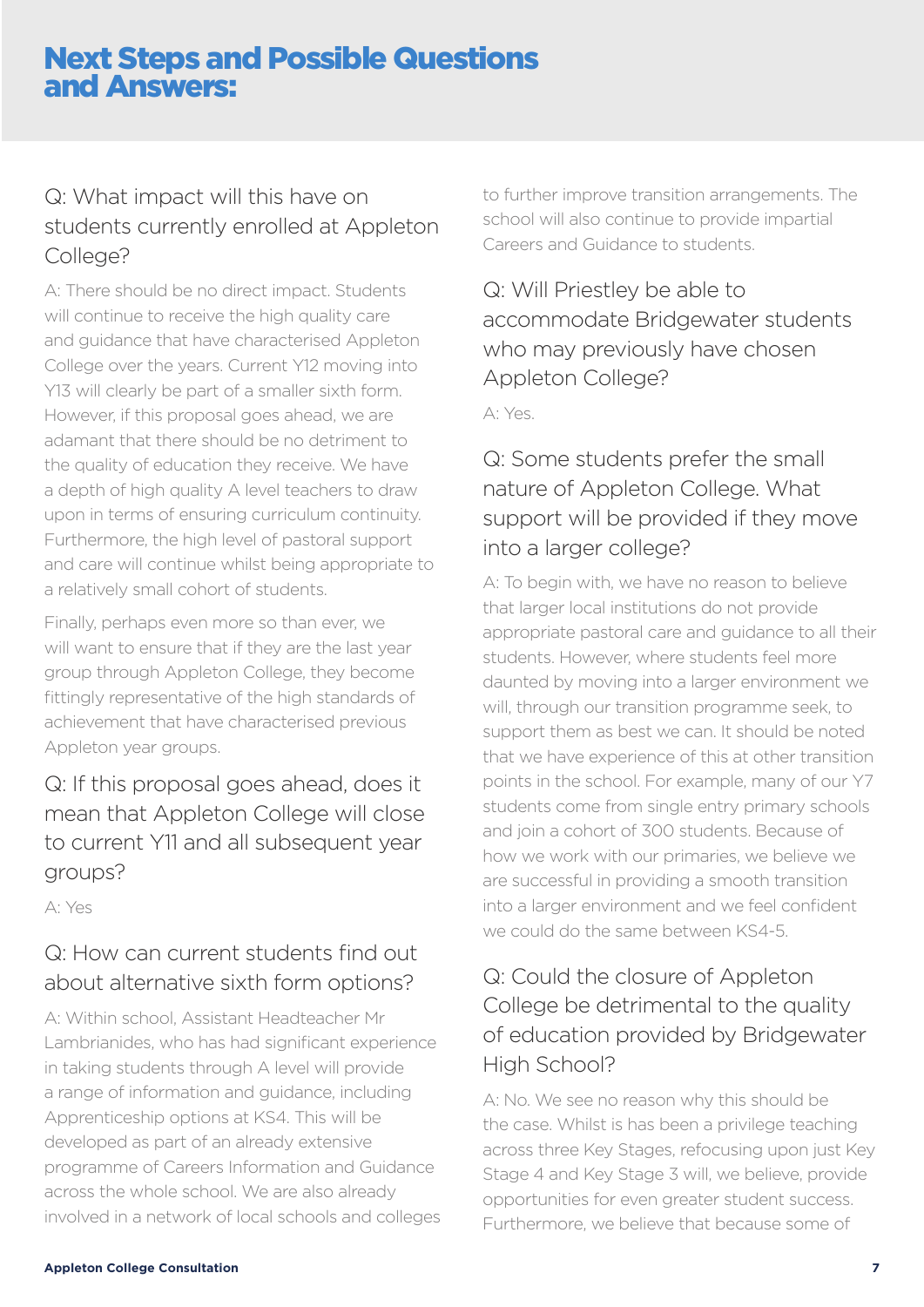## Next Steps and Possible Questions and Answers:

#### Q: What impact will this have on students currently enrolled at Appleton College?

A: There should be no direct impact. Students will continue to receive the high quality care and guidance that have characterised Appleton College over the years. Current Y12 moving into Y13 will clearly be part of a smaller sixth form. However, if this proposal goes ahead, we are adamant that there should be no detriment to the quality of education they receive. We have a depth of high quality A level teachers to draw upon in terms of ensuring curriculum continuity. Furthermore, the high level of pastoral support and care will continue whilst being appropriate to a relatively small cohort of students.

Finally, perhaps even more so than ever, we will want to ensure that if they are the last year group through Appleton College, they become fittingly representative of the high standards of achievement that have characterised previous Appleton year groups.

Q: If this proposal goes ahead, does it mean that Appleton College will close to current Y11 and all subsequent year groups?

A: Yes

### Q: How can current students find out about alternative sixth form options?

A: Within school, Assistant Headteacher Mr Lambrianides, who has had significant experience in taking students through A level will provide a range of information and guidance, including Apprenticeship options at KS4. This will be developed as part of an already extensive programme of Careers Information and Guidance across the whole school. We are also already involved in a network of local schools and colleges to further improve transition arrangements. The school will also continue to provide impartial Careers and Guidance to students.

#### Q: Will Priestley be able to accommodate Bridgewater students who may previously have chosen Appleton College?

A: Yes.

#### Q: Some students prefer the small nature of Appleton College. What support will be provided if they move into a larger college?

A: To begin with, we have no reason to believe that larger local institutions do not provide appropriate pastoral care and guidance to all their students. However, where students feel more daunted by moving into a larger environment we will, through our transition programme seek, to support them as best we can. It should be noted that we have experience of this at other transition points in the school. For example, many of our Y7 students come from single entry primary schools and join a cohort of 300 students. Because of how we work with our primaries, we believe we are successful in providing a smooth transition into a larger environment and we feel confident we could do the same between KS4-5.

#### Q: Could the closure of Appleton College be detrimental to the quality of education provided by Bridgewater High School?

A: No. We see no reason why this should be the case. Whilst is has been a privilege teaching across three Key Stages, refocusing upon just Key Stage 4 and Key Stage 3 will, we believe, provide opportunities for even greater student success. Furthermore, we believe that because some of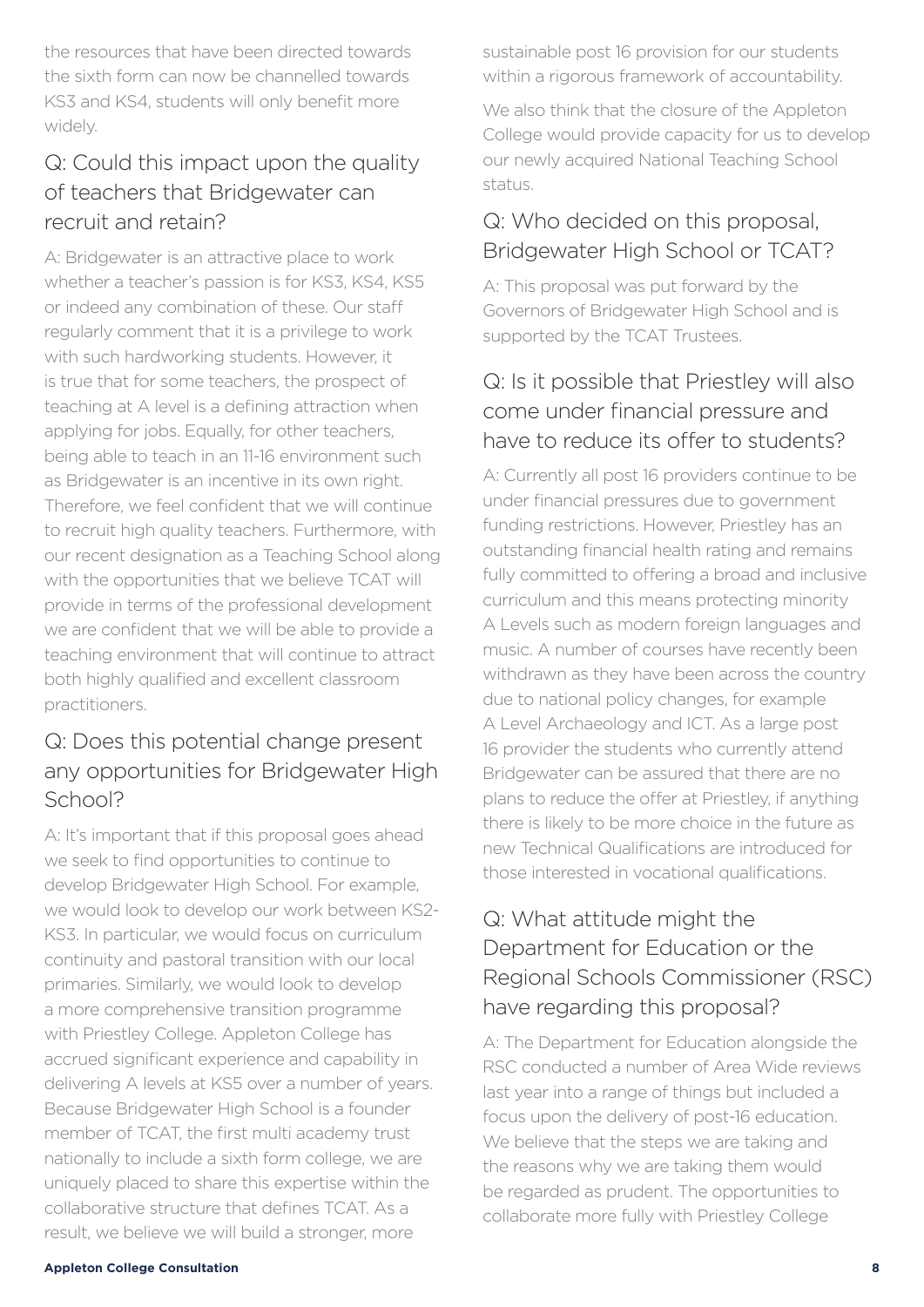the resources that have been directed towards the sixth form can now be channelled towards KS3 and KS4, students will only benefit more widely.

#### Q: Could this impact upon the quality of teachers that Bridgewater can recruit and retain?

A: Bridgewater is an attractive place to work whether a teacher's passion is for KS3, KS4, KS5 or indeed any combination of these. Our staff regularly comment that it is a privilege to work with such hardworking students. However, it is true that for some teachers, the prospect of teaching at A level is a defining attraction when applying for jobs. Equally, for other teachers, being able to teach in an 11-16 environment such as Bridgewater is an incentive in its own right. Therefore, we feel confident that we will continue to recruit high quality teachers. Furthermore, with our recent designation as a Teaching School along with the opportunities that we believe TCAT will provide in terms of the professional development we are confident that we will be able to provide a teaching environment that will continue to attract both highly qualified and excellent classroom practitioners.

#### Q: Does this potential change present any opportunities for Bridgewater High School?

A: It's important that if this proposal goes ahead we seek to find opportunities to continue to develop Bridgewater High School. For example, we would look to develop our work between KS2- KS3. In particular, we would focus on curriculum continuity and pastoral transition with our local primaries. Similarly, we would look to develop a more comprehensive transition programme with Priestley College. Appleton College has accrued significant experience and capability in delivering A levels at KS5 over a number of years. Because Bridgewater High School is a founder member of TCAT, the first multi academy trust nationally to include a sixth form college, we are uniquely placed to share this expertise within the collaborative structure that defines TCAT. As a result, we believe we will build a stronger, more

sustainable post 16 provision for our students within a rigorous framework of accountability.

We also think that the closure of the Appleton College would provide capacity for us to develop our newly acquired National Teaching School status.

#### Q: Who decided on this proposal, Bridgewater High School or TCAT?

A: This proposal was put forward by the Governors of Bridgewater High School and is supported by the TCAT Trustees.

#### Q: Is it possible that Priestley will also come under financial pressure and have to reduce its offer to students?

A: Currently all post 16 providers continue to be under financial pressures due to government funding restrictions. However, Priestley has an outstanding financial health rating and remains fully committed to offering a broad and inclusive curriculum and this means protecting minority A Levels such as modern foreign languages and music. A number of courses have recently been withdrawn as they have been across the country due to national policy changes, for example A Level Archaeology and ICT. As a large post 16 provider the students who currently attend Bridgewater can be assured that there are no plans to reduce the offer at Priestley, if anything there is likely to be more choice in the future as new Technical Qualifications are introduced for those interested in vocational qualifications.

#### Q: What attitude might the Department for Education or the Regional Schools Commissioner (RSC) have regarding this proposal?

A: The Department for Education alongside the RSC conducted a number of Area Wide reviews last year into a range of things but included a focus upon the delivery of post-16 education. We believe that the steps we are taking and the reasons why we are taking them would be regarded as prudent. The opportunities to collaborate more fully with Priestley College

#### **Appleton College Consultation 8**